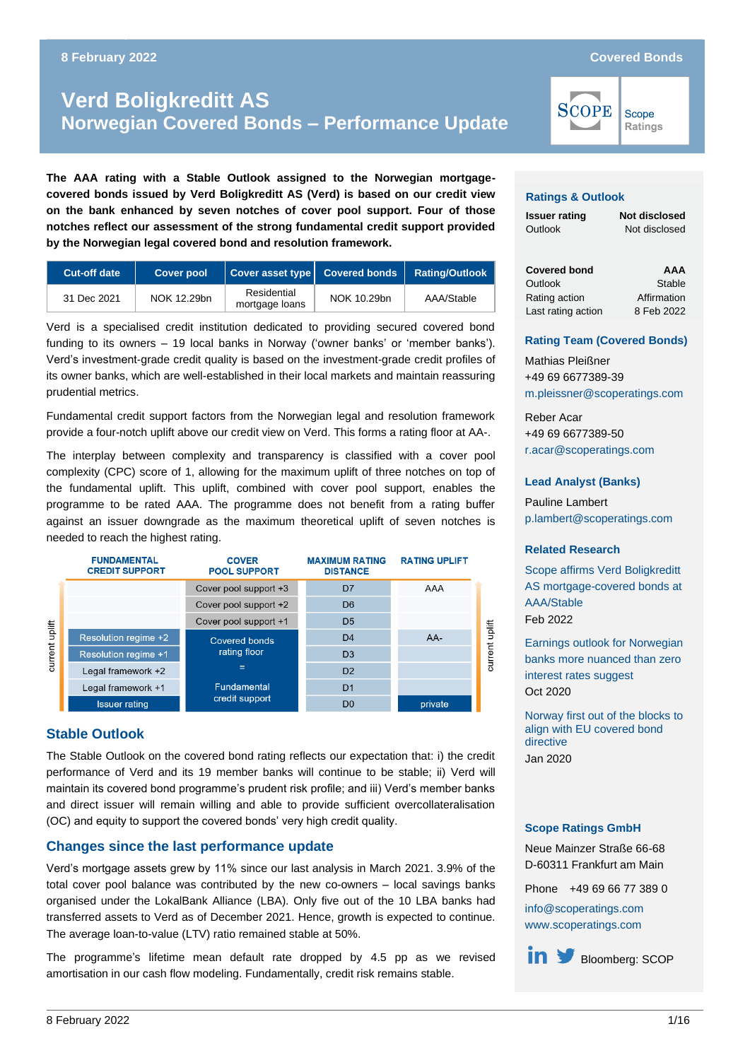# **Norwegian Covered Bonds – Performance Update Verd Boligkreditt AS Norwegian Covered Bonds – Performance Update**

**The AAA rating with a Stable Outlook assigned to the Norwegian mortgagecovered bonds issued by Verd Boligkreditt AS (Verd) is based on our credit view on the bank enhanced by seven notches of cover pool support. Four of those notches reflect our assessment of the strong fundamental credit support provided by the Norwegian legal covered bond and resolution framework.**

| <b>Cut-off date</b> | <b>Cover pool</b> | Cover asset type Covered bonds |             | <b>Rating/Outlook</b> |
|---------------------|-------------------|--------------------------------|-------------|-----------------------|
| 31 Dec 2021         | NOK 12.29bn       | Residential<br>mortgage loans  | NOK 10.29bn | AAA/Stable            |

Verd is a specialised credit institution dedicated to providing secured covered bond funding to its owners – 19 local banks in Norway ('owner banks' or 'member banks'). Verd's investment-grade credit quality is based on the investment-grade credit profiles of its owner banks, which are well-established in their local markets and maintain reassuring prudential metrics.

Fundamental credit support factors from the Norwegian legal and resolution framework provide a four-notch uplift above our credit view on Verd. This forms a rating floor at AA-.

The interplay between complexity and transparency is classified with a cover pool complexity (CPC) score of 1, allowing for the maximum uplift of three notches on top of the fundamental uplift. This uplift, combined with cover pool support, enables the programme to be rated AAA. The programme does not benefit from a rating buffer against an issuer downgrade as the maximum theoretical uplift of seven notches is needed to reach the highest rating.

|                | <b>FUNDAMENTAL</b><br><b>CREDIT SUPPORT</b> | <b>COVER</b><br><b>POOL SUPPORT</b> | <b>MAXIMUM RATING</b><br><b>DISTANCE</b> | <b>RATING UPLIFT</b> |                |
|----------------|---------------------------------------------|-------------------------------------|------------------------------------------|----------------------|----------------|
|                |                                             | Cover pool support +3               | D <sub>7</sub>                           | AAA                  |                |
|                |                                             | Cover pool support +2               | D <sub>6</sub>                           |                      |                |
|                |                                             | Cover pool support +1               | D <sub>5</sub>                           |                      |                |
| current uplift | Resolution regime +2                        | Covered bonds                       | D <sub>4</sub>                           | AA-                  | current unlift |
|                | <b>Resolution regime +1</b>                 | rating floor                        | D <sub>3</sub>                           |                      |                |
|                | Legal framework +2                          | $=$                                 | D <sub>2</sub>                           |                      |                |
|                | Legal framework +1                          | <b>Fundamental</b>                  | D <sub>1</sub>                           |                      |                |
|                | <b>Issuer rating</b>                        | credit support                      | D <sub>0</sub>                           | private              |                |

### **Stable Outlook**

The Stable Outlook on the covered bond rating reflects our expectation that: i) the credit performance of Verd and its 19 member banks will continue to be stable; ii) Verd will maintain its covered bond programme's prudent risk profile; and iii) Verd's member banks and direct issuer will remain willing and able to provide sufficient overcollateralisation (OC) and equity to support the covered bonds' very high credit quality.

### **Changes since the last performance update**

Verd's mortgage assets grew by 11% since our last analysis in March 2021. 3.9% of the total cover pool balance was contributed by the new co-owners – local savings banks organised under the LokalBank Alliance (LBA). Only five out of the 10 LBA banks had transferred assets to Verd as of December 2021. Hence, growth is expected to continue. The average loan-to-value (LTV) ratio remained stable at 50%.

The programme's lifetime mean default rate dropped by 4.5 pp as we revised amortisation in our cash flow modeling. Fundamentally, credit risk remains stable.

**SCOPE** 

Scope Ratings

#### **Ratings & Outlook**

**Issuer rating Not disclosed** Outlook Not disclosed

**Covered bond**  *Outlook* Stable **AAA**  Rating action Affirmation Last rating action 8 Feb 2022

#### **Rating Team (Covered Bonds)**

Mathias Pleißner +49 69 6677389-39 [m.pleissner@scoperatings.com](mailto:m.pleissner@scoperatings.com)

Reber Acar +49 69 6677389-50 [r.acar@scoperatings.com](mailto:r.acar@scoperatings.com)

#### **Lead Analyst (Banks)**

Pauline Lambert [p.lambert@scoperatings.com](mailto:p.lambert@scoperatings.com)

#### **Related Research**

[Scope affirms Verd Boligkreditt](https://scoperatings.com/#!search/research/detail/170063EN)  [AS mortgage-covered bonds at](https://scoperatings.com/#!search/research/detail/170063EN)  [AAA/Stable](https://scoperatings.com/#!search/research/detail/170063EN) Feb 2022

[Earnings outlook for Norwegian](http://www.scoperatings.com/ScopeRatingsApi/api/downloadstudy?id=f3be43ad-5b91-46b6-a499-34c5122a02f3)  [banks more nuanced than zero](http://www.scoperatings.com/ScopeRatingsApi/api/downloadstudy?id=f3be43ad-5b91-46b6-a499-34c5122a02f3)  [interest rates suggest](http://www.scoperatings.com/ScopeRatingsApi/api/downloadstudy?id=f3be43ad-5b91-46b6-a499-34c5122a02f3) Oct 2020

[Norway first out of the blocks to](https://scoperatings.com/#!search/research/detail/162073EN)  [align with EU covered bond](https://scoperatings.com/#!search/research/detail/162073EN)  [directive](https://scoperatings.com/#!search/research/detail/162073EN) Jan 2020

#### **Scope Ratings GmbH**

Neue Mainzer Straße 66-68 D-60311 Frankfurt am Main

Phone +49 69 66 77 389 0

[info@scoperatings.com](mailto:info@scoperatings.com) [www.scoperatings.com](https://www.scoperatings.com/)

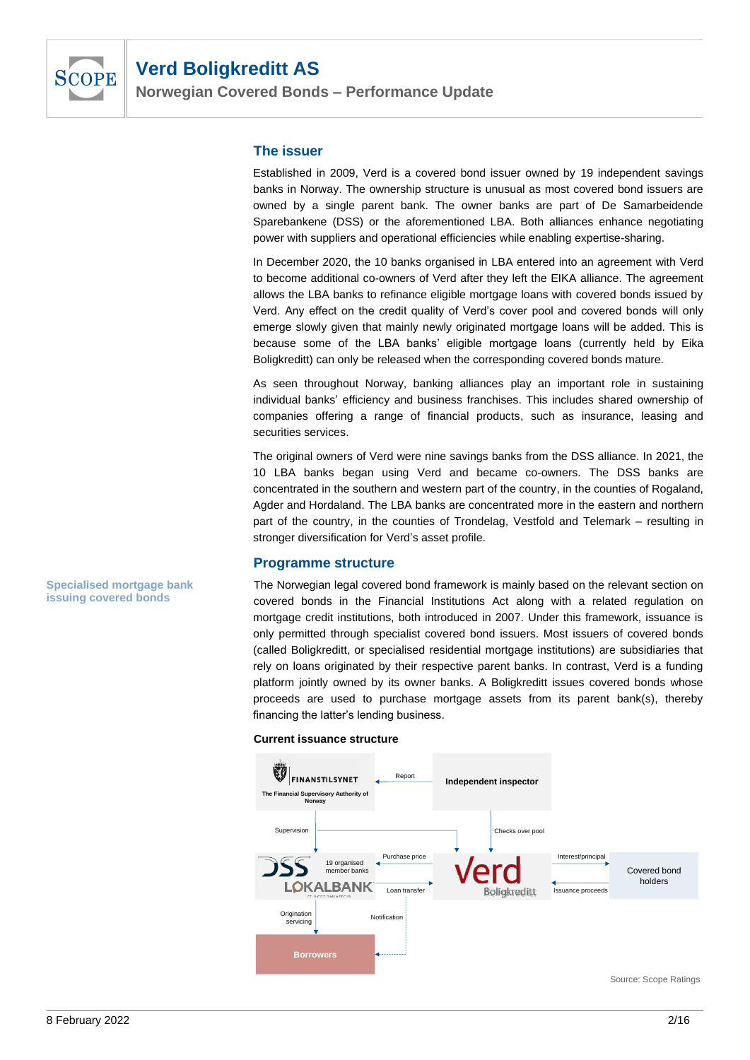

**Norwegian Covered Bonds – Performance Update**

### **The issuer**

Established in 2009, Verd is a covered bond issuer owned by 19 independent savings banks in Norway. The ownership structure is unusual as most covered bond issuers are owned by a single parent bank. The owner banks are part of De Samarbeidende Sparebankene (DSS) or the aforementioned LBA. Both alliances enhance negotiating power with suppliers and operational efficiencies while enabling expertise-sharing.

In December 2020, the 10 banks organised in LBA entered into an agreement with Verd to become additional co-owners of Verd after they left the EIKA alliance. The agreement allows the LBA banks to refinance eligible mortgage loans with covered bonds issued by Verd. Any effect on the credit quality of Verd's cover pool and covered bonds will only emerge slowly given that mainly newly originated mortgage loans will be added. This is because some of the LBA banks' eligible mortgage loans (currently held by Eika Boligkreditt) can only be released when the corresponding covered bonds mature.

As seen throughout Norway, banking alliances play an important role in sustaining individual banks' efficiency and business franchises. This includes shared ownership of companies offering a range of financial products, such as insurance, leasing and securities services.

The original owners of Verd were nine savings banks from the DSS alliance. In 2021, the 10 LBA banks began using Verd and became co-owners. The DSS banks are concentrated in the southern and western part of the country, in the counties of Rogaland, Agder and Hordaland. The LBA banks are concentrated more in the eastern and northern part of the country, in the counties of Trondelag, Vestfold and Telemark – resulting in stronger diversification for Verd's asset profile.

### **Programme structure**

The Norwegian legal covered bond framework is mainly based on the relevant section on covered bonds in the Financial Institutions Act along with a related regulation on mortgage credit institutions, both introduced in 2007. Under this framework, issuance is only permitted through specialist covered bond issuers. Most issuers of covered bonds (called Boligkreditt, or specialised residential mortgage institutions) are subsidiaries that rely on loans originated by their respective parent banks. In contrast, Verd is a funding platform jointly owned by its owner banks. A Boligkreditt issues covered bonds whose proceeds are used to purchase mortgage assets from its parent bank(s), thereby financing the latter's lending business.

#### **Current issuance structure**



**Specialised mortgage bank issuing covered bonds**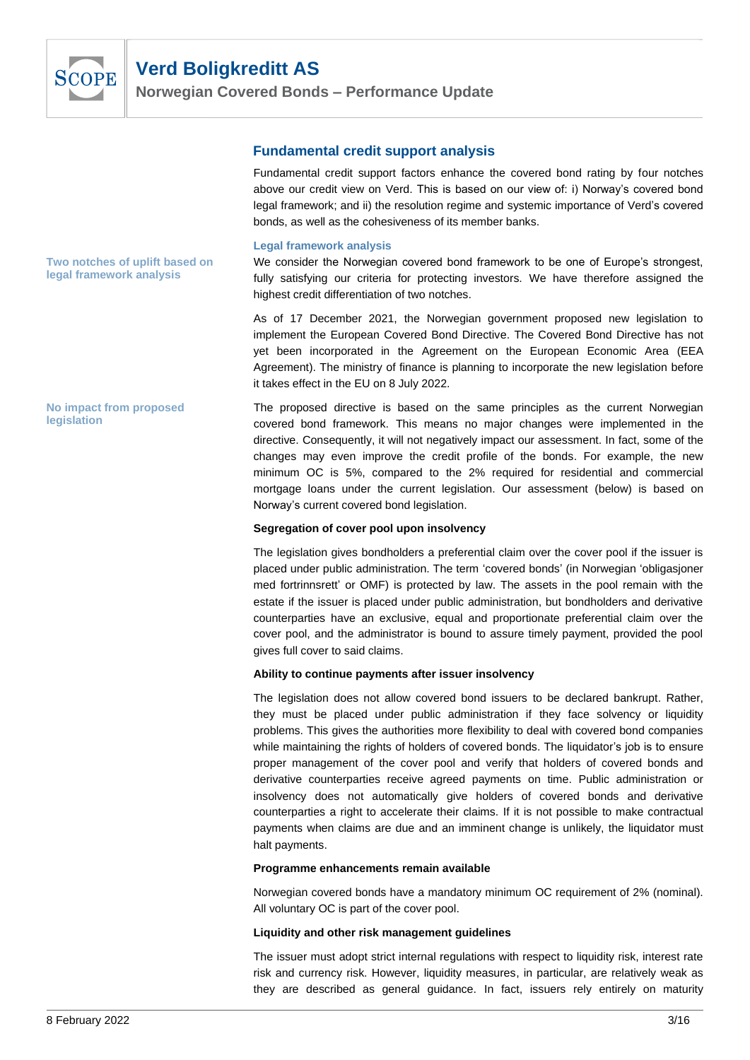

**Norwegian Covered Bonds – Performance Update**

### **Fundamental credit support analysis**

Fundamental credit support factors enhance the covered bond rating by four notches above our credit view on Verd. This is based on our view of: i) Norway's covered bond legal framework; and ii) the resolution regime and systemic importance of Verd's covered bonds, as well as the cohesiveness of its member banks.

#### **Legal framework analysis**

We consider the Norwegian covered bond framework to be one of Europe's strongest, fully satisfying our criteria for protecting investors. We have therefore assigned the highest credit differentiation of two notches.

As of 17 December 2021, the Norwegian government proposed new legislation to implement the European Covered Bond Directive. The Covered Bond Directive has not yet been incorporated in the Agreement on the European Economic Area (EEA Agreement). The ministry of finance is planning to incorporate the new legislation before it takes effect in the EU on 8 July 2022.

The proposed directive is based on the same principles as the current Norwegian covered bond framework. This means no major changes were implemented in the directive. Consequently, it will not negatively impact our assessment. In fact, some of the changes may even improve the credit profile of the bonds. For example, the new minimum OC is 5%, compared to the 2% required for residential and commercial mortgage loans under the current legislation. Our assessment (below) is based on Norway's current covered bond legislation.

#### **Segregation of cover pool upon insolvency**

The legislation gives bondholders a preferential claim over the cover pool if the issuer is placed under public administration. The term 'covered bonds' (in Norwegian 'obligasjoner med fortrinnsrett' or OMF) is protected by law. The assets in the pool remain with the estate if the issuer is placed under public administration, but bondholders and derivative counterparties have an exclusive, equal and proportionate preferential claim over the cover pool, and the administrator is bound to assure timely payment, provided the pool gives full cover to said claims.

#### **Ability to continue payments after issuer insolvency**

The legislation does not allow covered bond issuers to be declared bankrupt. Rather, they must be placed under public administration if they face solvency or liquidity problems. This gives the authorities more flexibility to deal with covered bond companies while maintaining the rights of holders of covered bonds. The liquidator's job is to ensure proper management of the cover pool and verify that holders of covered bonds and derivative counterparties receive agreed payments on time. Public administration or insolvency does not automatically give holders of covered bonds and derivative counterparties a right to accelerate their claims. If it is not possible to make contractual payments when claims are due and an imminent change is unlikely, the liquidator must halt payments.

#### **Programme enhancements remain available**

Norwegian covered bonds have a mandatory minimum OC requirement of 2% (nominal). All voluntary OC is part of the cover pool.

#### **Liquidity and other risk management guidelines**

The issuer must adopt strict internal regulations with respect to liquidity risk, interest rate risk and currency risk. However, liquidity measures, in particular, are relatively weak as they are described as general guidance. In fact, issuers rely entirely on maturity

**Two notches of uplift based on legal framework analysis**

**No impact from proposed legislation**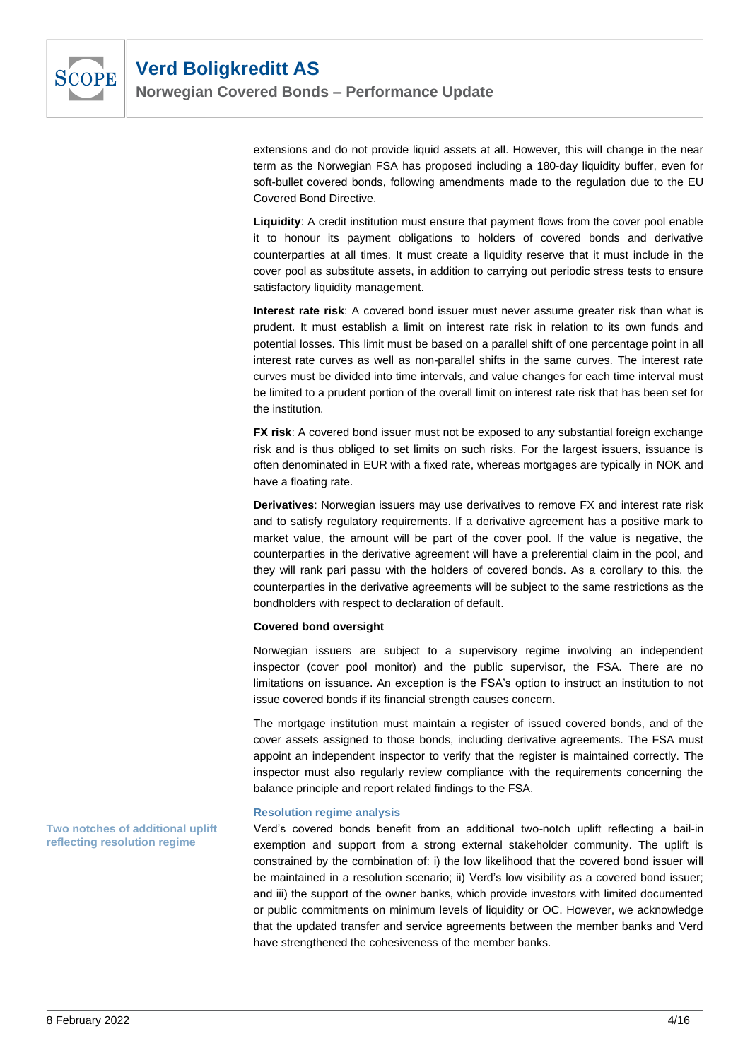

**Norwegian Covered Bonds – Performance Update**

extensions and do not provide liquid assets at all. However, this will change in the near term as the Norwegian FSA has proposed including a 180-day liquidity buffer, even for soft-bullet covered bonds, following amendments made to the regulation due to the EU Covered Bond Directive.

**Liquidity**: A credit institution must ensure that payment flows from the cover pool enable it to honour its payment obligations to holders of covered bonds and derivative counterparties at all times. It must create a liquidity reserve that it must include in the cover pool as substitute assets, in addition to carrying out periodic stress tests to ensure satisfactory liquidity management.

**Interest rate risk**: A covered bond issuer must never assume greater risk than what is prudent. It must establish a limit on interest rate risk in relation to its own funds and potential losses. This limit must be based on a parallel shift of one percentage point in all interest rate curves as well as non-parallel shifts in the same curves. The interest rate curves must be divided into time intervals, and value changes for each time interval must be limited to a prudent portion of the overall limit on interest rate risk that has been set for the institution.

**FX risk**: A covered bond issuer must not be exposed to any substantial foreign exchange risk and is thus obliged to set limits on such risks. For the largest issuers, issuance is often denominated in EUR with a fixed rate, whereas mortgages are typically in NOK and have a floating rate.

**Derivatives**: Norwegian issuers may use derivatives to remove FX and interest rate risk and to satisfy regulatory requirements. If a derivative agreement has a positive mark to market value, the amount will be part of the cover pool. If the value is negative, the counterparties in the derivative agreement will have a preferential claim in the pool, and they will rank pari passu with the holders of covered bonds. As a corollary to this, the counterparties in the derivative agreements will be subject to the same restrictions as the bondholders with respect to declaration of default.

#### **Covered bond oversight**

Norwegian issuers are subject to a supervisory regime involving an independent inspector (cover pool monitor) and the public supervisor, the FSA. There are no limitations on issuance. An exception is the FSA's option to instruct an institution to not issue covered bonds if its financial strength causes concern.

The mortgage institution must maintain a register of issued covered bonds, and of the cover assets assigned to those bonds, including derivative agreements. The FSA must appoint an independent inspector to verify that the register is maintained correctly. The inspector must also regularly review compliance with the requirements concerning the balance principle and report related findings to the FSA.

#### **Resolution regime analysis**

Verd's covered bonds benefit from an additional two-notch uplift reflecting a bail-in exemption and support from a strong external stakeholder community. The uplift is constrained by the combination of: i) the low likelihood that the covered bond issuer will be maintained in a resolution scenario; ii) Verd's low visibility as a covered bond issuer; and iii) the support of the owner banks, which provide investors with limited documented or public commitments on minimum levels of liquidity or OC. However, we acknowledge that the updated transfer and service agreements between the member banks and Verd have strengthened the cohesiveness of the member banks.

**Two notches of additional uplift reflecting resolution regime**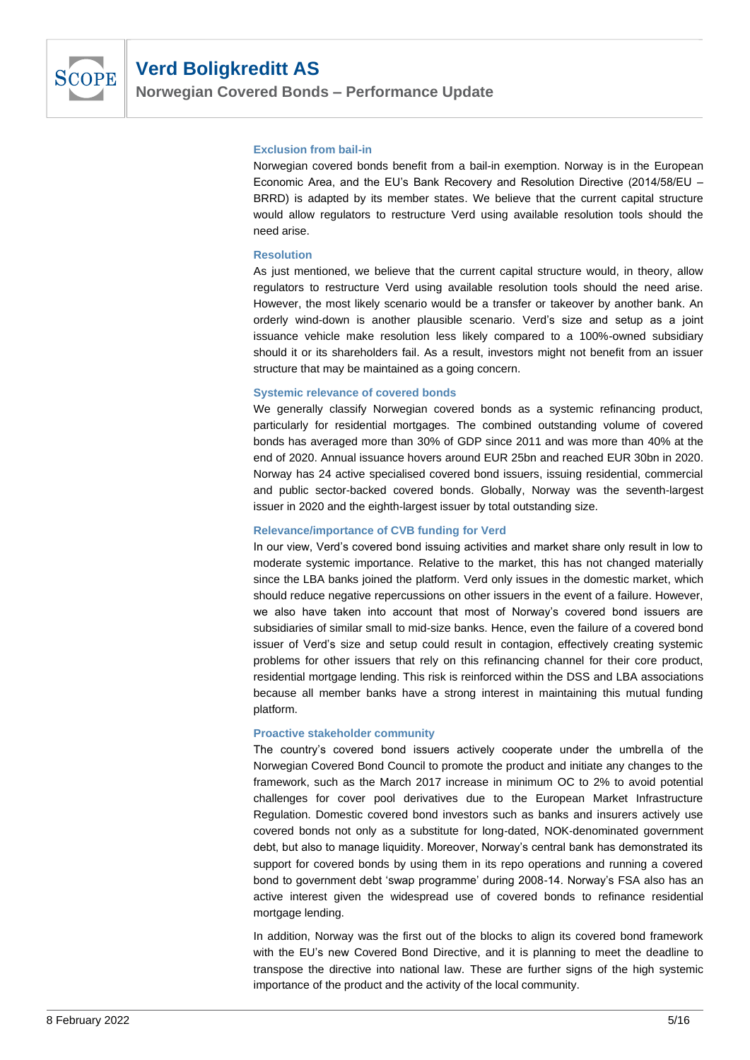

**Norwegian Covered Bonds – Performance Update**

#### **Exclusion from bail-in**

Norwegian covered bonds benefit from a bail-in exemption. Norway is in the European Economic Area, and the EU's Bank Recovery and Resolution Directive (2014/58/EU – BRRD) is adapted by its member states. We believe that the current capital structure would allow regulators to restructure Verd using available resolution tools should the need arise.

#### **Resolution**

As just mentioned, we believe that the current capital structure would, in theory, allow regulators to restructure Verd using available resolution tools should the need arise. However, the most likely scenario would be a transfer or takeover by another bank. An orderly wind-down is another plausible scenario. Verd's size and setup as a joint issuance vehicle make resolution less likely compared to a 100%-owned subsidiary should it or its shareholders fail. As a result, investors might not benefit from an issuer structure that may be maintained as a going concern.

#### **Systemic relevance of covered bonds**

We generally classify Norwegian covered bonds as a systemic refinancing product, particularly for residential mortgages. The combined outstanding volume of covered bonds has averaged more than 30% of GDP since 2011 and was more than 40% at the end of 2020. Annual issuance hovers around EUR 25bn and reached EUR 30bn in 2020. Norway has 24 active specialised covered bond issuers, issuing residential, commercial and public sector-backed covered bonds. Globally, Norway was the seventh-largest issuer in 2020 and the eighth-largest issuer by total outstanding size.

#### **Relevance/importance of CVB funding for Verd**

In our view, Verd's covered bond issuing activities and market share only result in low to moderate systemic importance. Relative to the market, this has not changed materially since the LBA banks joined the platform. Verd only issues in the domestic market, which should reduce negative repercussions on other issuers in the event of a failure. However, we also have taken into account that most of Norway's covered bond issuers are subsidiaries of similar small to mid-size banks. Hence, even the failure of a covered bond issuer of Verd's size and setup could result in contagion, effectively creating systemic problems for other issuers that rely on this refinancing channel for their core product, residential mortgage lending. This risk is reinforced within the DSS and LBA associations because all member banks have a strong interest in maintaining this mutual funding platform.

#### **Proactive stakeholder community**

The country's covered bond issuers actively cooperate under the umbrella of the Norwegian Covered Bond Council to promote the product and initiate any changes to the framework, such as the March 2017 increase in minimum OC to 2% to avoid potential challenges for cover pool derivatives due to the European Market Infrastructure Regulation. Domestic covered bond investors such as banks and insurers actively use covered bonds not only as a substitute for long-dated, NOK-denominated government debt, but also to manage liquidity. Moreover, Norway's central bank has demonstrated its support for covered bonds by using them in its repo operations and running a covered bond to government debt 'swap programme' during 2008-14. Norway's FSA also has an active interest given the widespread use of covered bonds to refinance residential mortgage lending.

In addition, Norway was the first out of the blocks to align its covered bond framework with the EU's new Covered Bond Directive, and it is planning to meet the deadline to transpose the directive into national law. These are further signs of the high systemic importance of the product and the activity of the local community.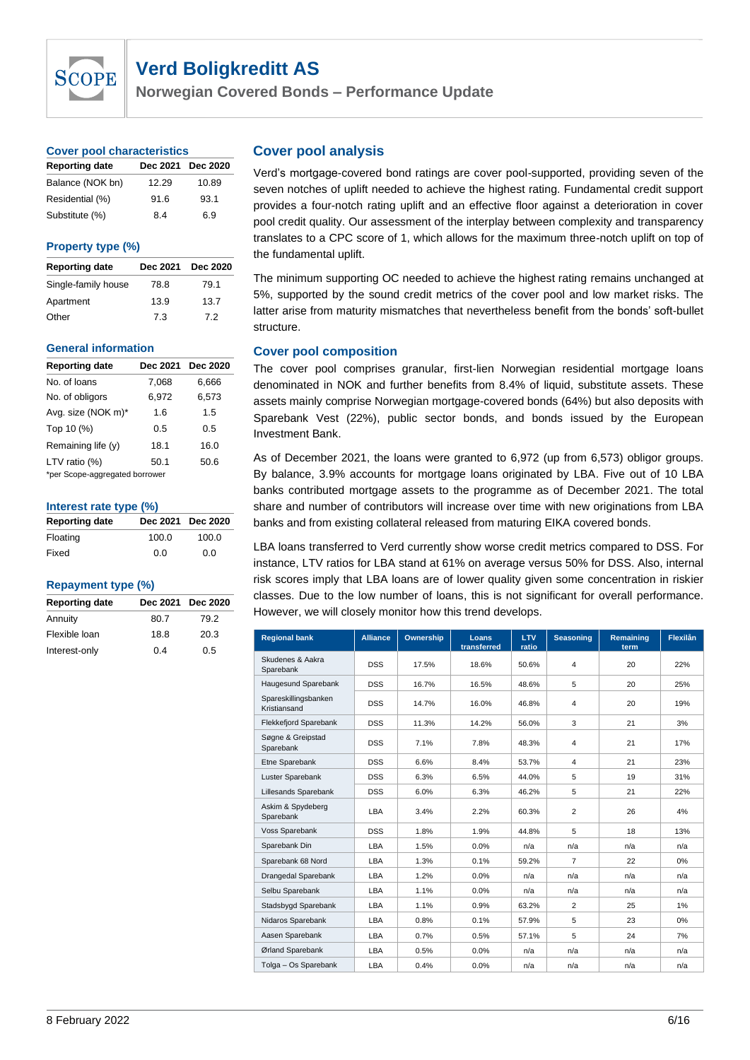

**Norwegian Covered Bonds – Performance Update**

#### **Cover pool characteristics**

| <b>Reporting date</b> |       | Dec 2021 Dec 2020 |
|-----------------------|-------|-------------------|
| Balance (NOK bn)      | 12.29 | 10.89             |
| Residential (%)       | 91.6  | 93.1              |
| Substitute (%)        | 8.4   | 6.9               |

#### **Property type (%)**

| <b>Reporting date</b> | Dec 2021 | <b>Dec 2020</b> |
|-----------------------|----------|-----------------|
| Single-family house   | 78.8     | 79.1            |
| Apartment             | 13.9     | 13.7            |
| Other                 | 7.3      | 7.2             |

#### **General information**

| <b>Reporting date</b>          | Dec 2021 | Dec 2020 |  |  |  |  |
|--------------------------------|----------|----------|--|--|--|--|
| No. of loans                   | 7.068    | 6,666    |  |  |  |  |
| No. of obligors                | 6,972    | 6,573    |  |  |  |  |
| Avg. size (NOK m)*             | 1.6      | 1.5      |  |  |  |  |
| Top 10 (%)                     | 0.5      | 0.5      |  |  |  |  |
| Remaining life (y)             | 18.1     | 16.0     |  |  |  |  |
| LTV ratio $(%)$                | 50.1     | 50.6     |  |  |  |  |
| *per Scope-aggregated borrower |          |          |  |  |  |  |

#### **Interest rate type (%)**

| <b>Reporting date</b> |       | Dec 2021 Dec 2020 |
|-----------------------|-------|-------------------|
| Floating              | 100.0 | 100.0             |
| Fixed                 | 0.0   | 0.0               |

#### **Repayment type (%)**

|      | Dec 2021 Dec 2020 |
|------|-------------------|
| 80.7 | 79.2              |
| 18.8 | 20.3              |
| 0.4  | 0.5               |
|      |                   |

### **Cover pool analysis**

Verd's mortgage-covered bond ratings are cover pool-supported, providing seven of the seven notches of uplift needed to achieve the highest rating. Fundamental credit support provides a four-notch rating uplift and an effective floor against a deterioration in cover pool credit quality. Our assessment of the interplay between complexity and transparency translates to a CPC score of 1, which allows for the maximum three-notch uplift on top of the fundamental uplift.

The minimum supporting OC needed to achieve the highest rating remains unchanged at 5%, supported by the sound credit metrics of the cover pool and low market risks. The latter arise from maturity mismatches that nevertheless benefit from the bonds' soft-bullet structure.

#### **Cover pool composition**

The cover pool comprises granular, first-lien Norwegian residential mortgage loans denominated in NOK and further benefits from 8.4% of liquid, substitute assets. These assets mainly comprise Norwegian mortgage-covered bonds (64%) but also deposits with Sparebank Vest (22%), public sector bonds, and bonds issued by the European Investment Bank.

As of December 2021, the loans were granted to 6,972 (up from 6,573) obligor groups. By balance, 3.9% accounts for mortgage loans originated by LBA. Five out of 10 LBA banks contributed mortgage assets to the programme as of December 2021. The total share and number of contributors will increase over time with new originations from LBA banks and from existing collateral released from maturing EIKA covered bonds.

LBA loans transferred to Verd currently show worse credit metrics compared to DSS. For instance, LTV ratios for LBA stand at 61% on average versus 50% for DSS. Also, internal risk scores imply that LBA loans are of lower quality given some concentration in riskier classes. Due to the low number of loans, this is not significant for overall performance. However, we will closely monitor how this trend develops.

| <b>Regional bank</b>                 | <b>Alliance</b> | Ownership | Loans<br>transferred | <b>LTV</b><br>ratio | <b>Seasoning</b> | Remaining<br>term | Flexilån |
|--------------------------------------|-----------------|-----------|----------------------|---------------------|------------------|-------------------|----------|
| Skudenes & Aakra<br>Sparebank        | <b>DSS</b>      | 17.5%     | 18.6%                | 50.6%               | 4                | 20                | 22%      |
| Haugesund Sparebank                  | <b>DSS</b>      | 16.7%     | 16.5%                | 48.6%               | 5                | 20                | 25%      |
| Spareskillingsbanken<br>Kristiansand | <b>DSS</b>      | 14.7%     | 16.0%                | 46.8%               | 4                | 20                | 19%      |
| Flekkefjord Sparebank                | <b>DSS</b>      | 11.3%     | 14.2%                | 56.0%               | 3                | 21                | 3%       |
| Søgne & Greipstad<br>Sparebank       | <b>DSS</b>      | 7.1%      | 7.8%                 | 48.3%               | 4                | 21                | 17%      |
| Etne Sparebank                       | <b>DSS</b>      | 6.6%      | 8.4%                 | 53.7%               | 4                | 21                | 23%      |
| Luster Sparebank                     | <b>DSS</b>      | 6.3%      | 6.5%                 | 44.0%               | 5                | 19                | 31%      |
| Lillesands Sparebank                 | <b>DSS</b>      | 6.0%      | 6.3%                 | 46.2%               | 5                | 21                | 22%      |
| Askim & Spydeberg<br>Sparebank       | LBA             | 3.4%      | 2.2%                 | 60.3%               | $\overline{2}$   | 26                | 4%       |
| Voss Sparebank                       | <b>DSS</b>      | 1.8%      | 1.9%                 | 44.8%               | 5                | 18                | 13%      |
| Sparebank Din                        | LBA             | 1.5%      | 0.0%                 | n/a                 | n/a              | n/a               | n/a      |
| Sparebank 68 Nord                    | LBA             | 1.3%      | 0.1%                 | 59.2%               | $\overline{7}$   | 22                | $0\%$    |
| Drangedal Sparebank                  | LBA             | 1.2%      | 0.0%                 | n/a                 | n/a              | n/a               | n/a      |
| Selbu Sparebank                      | LBA             | 1.1%      | 0.0%                 | n/a                 | n/a              | n/a               | n/a      |
| Stadsbygd Sparebank                  | LBA             | 1.1%      | 0.9%                 | 63.2%               | $\overline{2}$   | 25                | 1%       |
| Nidaros Sparebank                    | LBA             | 0.8%      | 0.1%                 | 57.9%               | 5                | 23                | $0\%$    |
| Aasen Sparebank                      | LBA             | 0.7%      | 0.5%                 | 57.1%               | 5                | 24                | 7%       |
| Ørland Sparebank                     | LBA             | 0.5%      | 0.0%                 | n/a                 | n/a              | n/a               | n/a      |
| Tolga - Os Sparebank                 | LBA             | 0.4%      | 0.0%                 | n/a                 | n/a              | n/a               | n/a      |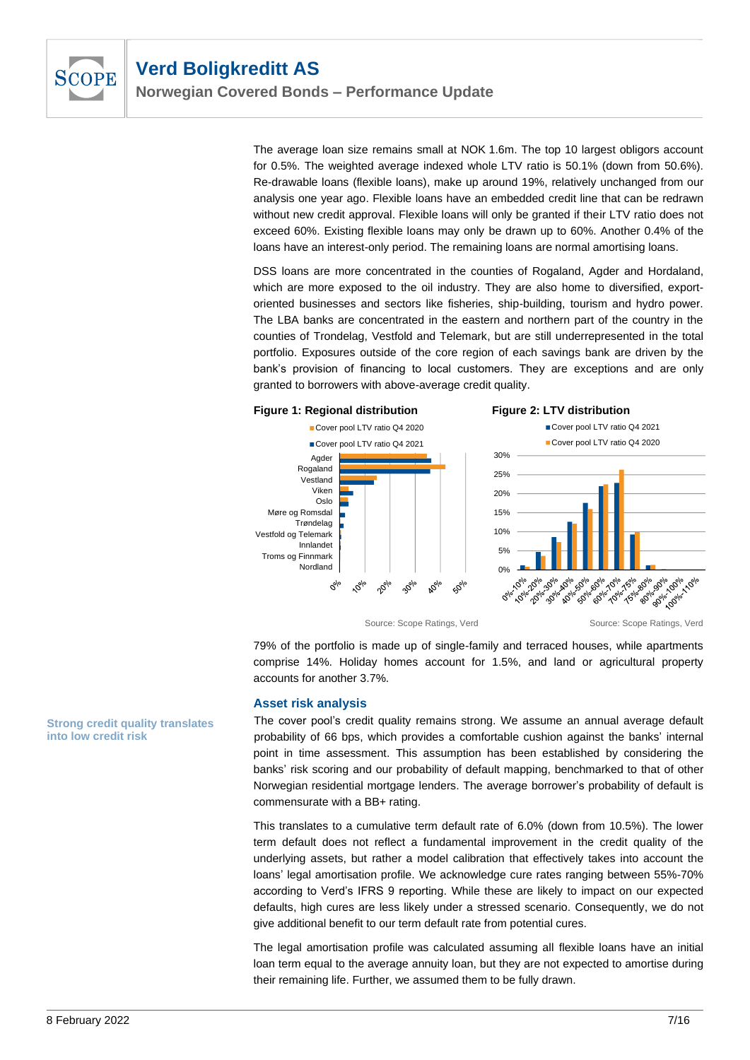

The average loan size remains small at NOK 1.6m. The top 10 largest obligors account for 0.5%. The weighted average indexed whole LTV ratio is 50.1% (down from 50.6%). Re-drawable loans (flexible loans), make up around 19%, relatively unchanged from our analysis one year ago. Flexible loans have an embedded credit line that can be redrawn without new credit approval. Flexible loans will only be granted if their LTV ratio does not exceed 60%. Existing flexible loans may only be drawn up to 60%. Another 0.4% of the loans have an interest-only period. The remaining loans are normal amortising loans.

DSS loans are more concentrated in the counties of Rogaland, Agder and Hordaland, which are more exposed to the oil industry. They are also home to diversified, exportoriented businesses and sectors like fisheries, ship-building, tourism and hydro power. The LBA banks are concentrated in the eastern and northern part of the country in the counties of Trondelag, Vestfold and Telemark, but are still underrepresented in the total portfolio. Exposures outside of the core region of each savings bank are driven by the bank's provision of financing to local customers. They are exceptions and are only granted to borrowers with above-average credit quality.





79% of the portfolio is made up of single-family and terraced houses, while apartments comprise 14%. Holiday homes account for 1.5%, and land or agricultural property accounts for another 3.7%.

#### **Asset risk analysis**

The cover pool's credit quality remains strong. We assume an annual average default probability of 66 bps, which provides a comfortable cushion against the banks' internal point in time assessment. This assumption has been established by considering the banks' risk scoring and our probability of default mapping, benchmarked to that of other Norwegian residential mortgage lenders. The average borrower's probability of default is commensurate with a BB+ rating.

This translates to a cumulative term default rate of 6.0% (down from 10.5%). The lower term default does not reflect a fundamental improvement in the credit quality of the underlying assets, but rather a model calibration that effectively takes into account the loans' legal amortisation profile. We acknowledge cure rates ranging between 55%-70% according to Verd's IFRS 9 reporting. While these are likely to impact on our expected defaults, high cures are less likely under a stressed scenario. Consequently, we do not give additional benefit to our term default rate from potential cures.

The legal amortisation profile was calculated assuming all flexible loans have an initial loan term equal to the average annuity loan, but they are not expected to amortise during their remaining life. Further, we assumed them to be fully drawn.

**Strong credit quality translates into low credit risk**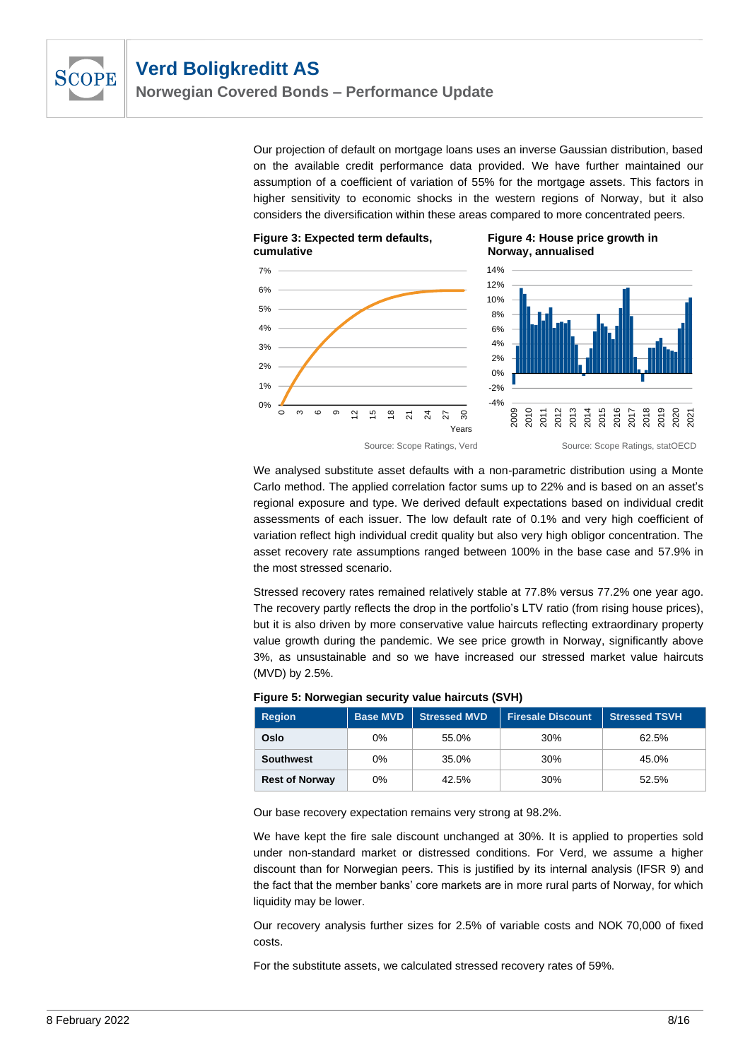

Our projection of default on mortgage loans uses an inverse Gaussian distribution, based on the available credit performance data provided. We have further maintained our assumption of a coefficient of variation of 55% for the mortgage assets. This factors in higher sensitivity to economic shocks in the western regions of Norway, but it also considers the diversification within these areas compared to more concentrated peers.



 $0%$ 1% 2% 3% 4% 5% 6% 7%

> $\sim$ ო  $\epsilon$ ග





We analysed substitute asset defaults with a non-parametric distribution using a Monte Carlo method. The applied correlation factor sums up to 22% and is based on an asset's regional exposure and type. We derived default expectations based on individual credit assessments of each issuer. The low default rate of 0.1% and very high coefficient of variation reflect high individual credit quality but also very high obligor concentration. The asset recovery rate assumptions ranged between 100% in the base case and 57.9% in the most stressed scenario.

Stressed recovery rates remained relatively stable at 77.8% versus 77.2% one year ago. The recovery partly reflects the drop in the portfolio's LTV ratio (from rising house prices), but it is also driven by more conservative value haircuts reflecting extraordinary property value growth during the pandemic. We see price growth in Norway, significantly above 3%, as unsustainable and so we have increased our stressed market value haircuts (MVD) by 2.5%.

| <b>Region</b>         | <b>Base MVD</b> | <b>Stressed MVD</b> | <b>Firesale Discount.</b> | <b>Stressed TSVH</b> |
|-----------------------|-----------------|---------------------|---------------------------|----------------------|
| Oslo                  | 0%              | 55.0%               | 30%                       | 62.5%                |
| <b>Southwest</b>      | $0\%$           | 35.0%               | 30%                       | 45.0%                |
| <b>Rest of Norway</b> | 0%              | 42.5%               | 30%                       | 52.5%                |

### **Figure 5: Norwegian security value haircuts (SVH)**

Our base recovery expectation remains very strong at 98.2%.

We have kept the fire sale discount unchanged at 30%. It is applied to properties sold under non-standard market or distressed conditions. For Verd, we assume a higher discount than for Norwegian peers. This is justified by its internal analysis (IFSR 9) and the fact that the member banks' core markets are in more rural parts of Norway, for which liquidity may be lower.

Our recovery analysis further sizes for 2.5% of variable costs and NOK 70,000 of fixed costs.

For the substitute assets, we calculated stressed recovery rates of 59%.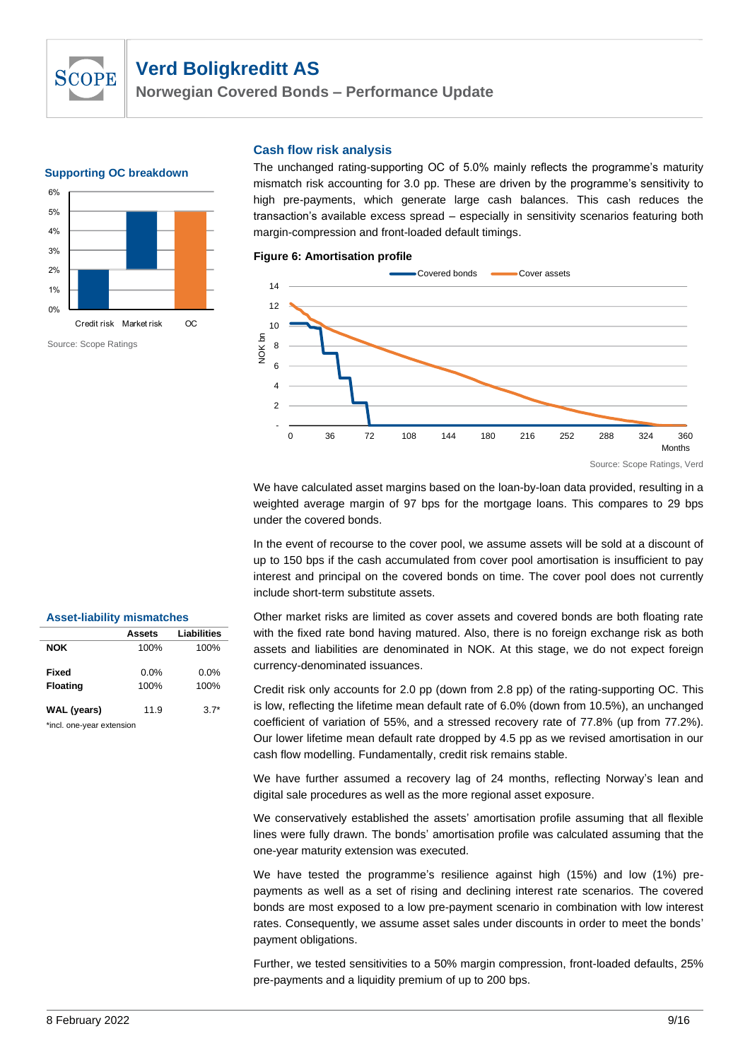

**Norwegian Covered Bonds – Performance Update**

#### **Supporting OC breakdown**



#### **Cash flow risk analysis**

The unchanged rating-supporting OC of 5.0% mainly reflects the programme's maturity mismatch risk accounting for 3.0 pp. These are driven by the programme's sensitivity to high pre-payments, which generate large cash balances. This cash reduces the transaction's available excess spread – especially in sensitivity scenarios featuring both margin-compression and front-loaded default timings.

**Figure 6: Amortisation profile**



Source: Scope Ratings, Verd

We have calculated asset margins based on the loan-by-loan data provided, resulting in a weighted average margin of 97 bps for the mortgage loans. This compares to 29 bps under the covered bonds.

In the event of recourse to the cover pool, we assume assets will be sold at a discount of up to 150 bps if the cash accumulated from cover pool amortisation is insufficient to pay interest and principal on the covered bonds on time. The cover pool does not currently include short-term substitute assets.

Other market risks are limited as cover assets and covered bonds are both floating rate with the fixed rate bond having matured. Also, there is no foreign exchange risk as both assets and liabilities are denominated in NOK. At this stage, we do not expect foreign currency-denominated issuances.

Credit risk only accounts for 2.0 pp (down from 2.8 pp) of the rating-supporting OC. This is low, reflecting the lifetime mean default rate of 6.0% (down from 10.5%), an unchanged coefficient of variation of 55%, and a stressed recovery rate of 77.8% (up from 77.2%). Our lower lifetime mean default rate dropped by 4.5 pp as we revised amortisation in our cash flow modelling. Fundamentally, credit risk remains stable.

We have further assumed a recovery lag of 24 months, reflecting Norway's lean and digital sale procedures as well as the more regional asset exposure.

We conservatively established the assets' amortisation profile assuming that all flexible lines were fully drawn. The bonds' amortisation profile was calculated assuming that the one-year maturity extension was executed.

We have tested the programme's resilience against high (15%) and low (1%) prepayments as well as a set of rising and declining interest rate scenarios. The covered bonds are most exposed to a low pre-payment scenario in combination with low interest rates. Consequently, we assume asset sales under discounts in order to meet the bonds' payment obligations.

Further, we tested sensitivities to a 50% margin compression, front-loaded defaults, 25% pre-payments and a liquidity premium of up to 200 bps.

#### **Asset-liability mismatches**

|                           | Assets  | Liabilities |
|---------------------------|---------|-------------|
| <b>NOK</b>                | 100%    | 100%        |
|                           |         |             |
| <b>Fixed</b>              | $0.0\%$ | $0.0\%$     |
| <b>Floating</b>           | 100%    | 100%        |
|                           |         |             |
| <b>WAL</b> (years)        | 11.9    | $3.7*$      |
| *incl. one-year extension |         |             |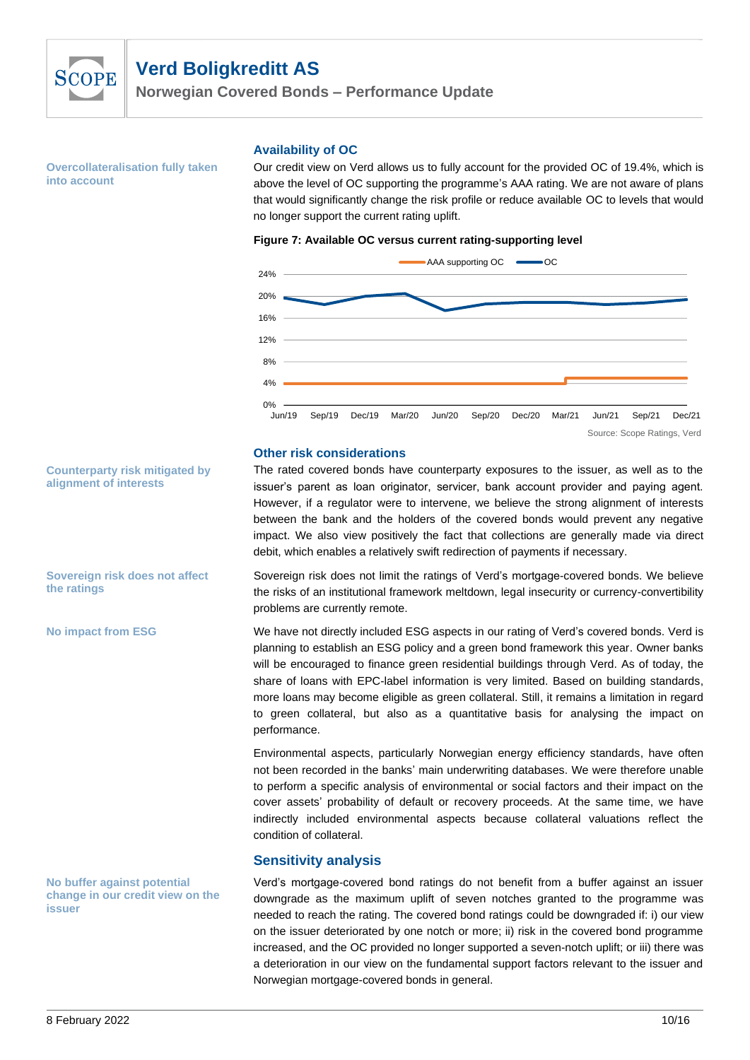

**Norwegian Covered Bonds – Performance Update**

**Overcollateralisation fully taken into account** 

#### **Availability of OC**

Our credit view on Verd allows us to fully account for the provided OC of 19.4%, which is above the level of OC supporting the programme's AAA rating. We are not aware of plans that would significantly change the risk profile or reduce available OC to levels that would no longer support the current rating uplift.

#### **Figure 7: Available OC versus current rating-supporting level**



#### **Other risk considerations**

The rated covered bonds have counterparty exposures to the issuer, as well as to the issuer's parent as loan originator, servicer, bank account provider and paying agent. However, if a regulator were to intervene, we believe the strong alignment of interests between the bank and the holders of the covered bonds would prevent any negative impact. We also view positively the fact that collections are generally made via direct debit, which enables a relatively swift redirection of payments if necessary.

Sovereign risk does not limit the ratings of Verd's mortgage-covered bonds. We believe the risks of an institutional framework meltdown, legal insecurity or currency-convertibility problems are currently remote.

We have not directly included ESG aspects in our rating of Verd's covered bonds. Verd is planning to establish an ESG policy and a green bond framework this year. Owner banks will be encouraged to finance green residential buildings through Verd. As of today, the share of loans with EPC-label information is very limited. Based on building standards, more loans may become eligible as green collateral. Still, it remains a limitation in regard to green collateral, but also as a quantitative basis for analysing the impact on performance.

Environmental aspects, particularly Norwegian energy efficiency standards, have often not been recorded in the banks' main underwriting databases. We were therefore unable to perform a specific analysis of environmental or social factors and their impact on the cover assets' probability of default or recovery proceeds. At the same time, we have indirectly included environmental aspects because collateral valuations reflect the condition of collateral.

#### **Sensitivity analysis**

Verd's mortgage-covered bond ratings do not benefit from a buffer against an issuer downgrade as the maximum uplift of seven notches granted to the programme was needed to reach the rating. The covered bond ratings could be downgraded if: i) our view on the issuer deteriorated by one notch or more; ii) risk in the covered bond programme increased, and the OC provided no longer supported a seven-notch uplift; or iii) there was a deterioration in our view on the fundamental support factors relevant to the issuer and Norwegian mortgage-covered bonds in general.

**Counterparty risk mitigated by alignment of interests**

**Sovereign risk does not affect the ratings**

**No impact from ESG**

**No buffer against potential change in our credit view on the issuer**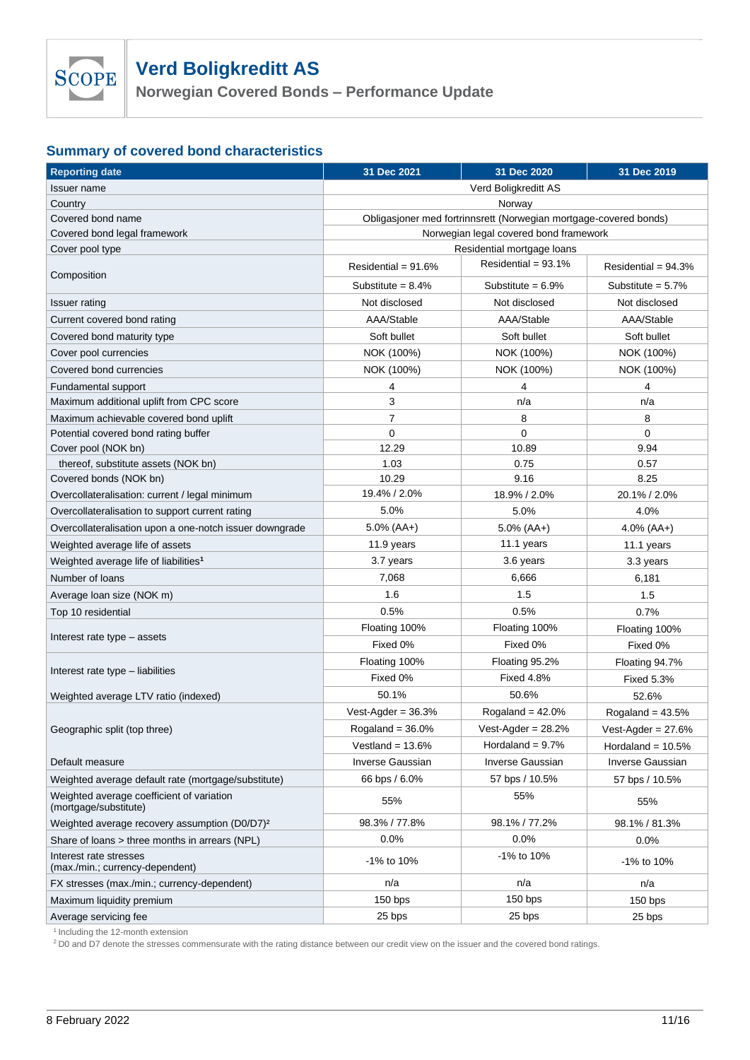

**Norwegian Covered Bonds – Performance Update**

## **Summary of covered bond characteristics**

| <b>Reporting date</b>                                              | 31 Dec 2021                            | 31 Dec 2020                                                       | 31 Dec 2019            |  |  |
|--------------------------------------------------------------------|----------------------------------------|-------------------------------------------------------------------|------------------------|--|--|
| Issuer name                                                        | Verd Boligkreditt AS                   |                                                                   |                        |  |  |
| Country                                                            |                                        | Norway                                                            |                        |  |  |
| Covered bond name                                                  |                                        | Obligasjoner med fortrinnsrett (Norwegian mortgage-covered bonds) |                        |  |  |
| Covered bond legal framework                                       | Norwegian legal covered bond framework |                                                                   |                        |  |  |
| Cover pool type                                                    |                                        | Residential mortgage loans                                        |                        |  |  |
| Composition                                                        | Residential = $91.6%$                  | Residential = $93.1\%$                                            | Residential = $94.3\%$ |  |  |
|                                                                    | Substitute = $8.4\%$                   | Substitute = $6.9\%$                                              | Substitute = $5.7\%$   |  |  |
| <b>Issuer rating</b>                                               | Not disclosed                          | Not disclosed                                                     | Not disclosed          |  |  |
| Current covered bond rating                                        | AAA/Stable                             | AAA/Stable                                                        | AAA/Stable             |  |  |
| Covered bond maturity type                                         | Soft bullet                            | Soft bullet                                                       | Soft bullet            |  |  |
| Cover pool currencies                                              | NOK (100%)                             | NOK (100%)                                                        | NOK (100%)             |  |  |
| Covered bond currencies                                            | NOK (100%)                             | NOK (100%)                                                        | NOK (100%)             |  |  |
| Fundamental support                                                | 4                                      | 4                                                                 | 4                      |  |  |
| Maximum additional uplift from CPC score                           | 3                                      | n/a                                                               | n/a                    |  |  |
| Maximum achievable covered bond uplift                             | $\overline{7}$                         | 8                                                                 | 8                      |  |  |
| Potential covered bond rating buffer                               | 0                                      | $\mathbf 0$                                                       | 0                      |  |  |
| Cover pool (NOK bn)                                                | 12.29                                  | 10.89                                                             | 9.94                   |  |  |
| thereof, substitute assets (NOK bn)                                | 1.03                                   | 0.75                                                              | 0.57                   |  |  |
| Covered bonds (NOK bn)                                             | 10.29                                  | 9.16                                                              | 8.25                   |  |  |
| Overcollateralisation: current / legal minimum                     | 19.4% / 2.0%                           | 18.9% / 2.0%                                                      | 20.1% / 2.0%           |  |  |
| Overcollateralisation to support current rating                    | 5.0%                                   | 5.0%                                                              | 4.0%                   |  |  |
| Overcollateralisation upon a one-notch issuer downgrade            | $5.0\%$ (AA+)                          | $5.0\%$ (AA+)                                                     | $4.0\%$ (AA+)          |  |  |
| Weighted average life of assets                                    | 11.9 years                             | 11.1 years                                                        | 11.1 years             |  |  |
| Weighted average life of liabilities <sup>1</sup>                  | 3.7 years                              | 3.6 years                                                         | 3.3 years              |  |  |
| Number of loans                                                    | 7,068                                  | 6,666                                                             | 6,181                  |  |  |
| Average loan size (NOK m)                                          | 1.6                                    | 1.5                                                               | 1.5                    |  |  |
| Top 10 residential                                                 | 0.5%                                   | 0.5%                                                              | 0.7%                   |  |  |
|                                                                    | Floating 100%                          | Floating 100%                                                     | Floating 100%          |  |  |
| Interest rate type – assets                                        | Fixed 0%                               | Fixed 0%                                                          | Fixed 0%               |  |  |
|                                                                    | Floating 100%                          | Floating 95.2%                                                    | Floating 94.7%         |  |  |
| Interest rate type - liabilities                                   | Fixed 0%                               | <b>Fixed 4.8%</b>                                                 | <b>Fixed 5.3%</b>      |  |  |
| Weighted average LTV ratio (indexed)                               | 50.1%                                  | 50.6%                                                             | 52.6%                  |  |  |
|                                                                    | Vest-Agder = $36.3%$                   | Rogaland = $42.0\%$                                               | Rogaland = $43.5%$     |  |  |
| Geographic split (top three)                                       | Rogaland = $36.0\%$                    | Vest-Agder = $28.2%$                                              | Vest-Agder = $27.6%$   |  |  |
|                                                                    | Vestland = $13.6\%$                    | Hordaland = $9.7\%$                                               | Hordaland $= 10.5\%$   |  |  |
| Default measure                                                    | <b>Inverse Gaussian</b>                | <b>Inverse Gaussian</b>                                           | Inverse Gaussian       |  |  |
| Weighted average default rate (mortgage/substitute)                | 66 bps / 6.0%                          | 57 bps / 10.5%                                                    | 57 bps / 10.5%         |  |  |
| Weighted average coefficient of variation<br>(mortgage/substitute) | 55%                                    | 55%                                                               | 55%                    |  |  |
| Weighted average recovery assumption (D0/D7) <sup>2</sup>          | 98.3% / 77.8%                          | 98.1% / 77.2%                                                     | 98.1% / 81.3%          |  |  |
| Share of loans > three months in arrears (NPL)                     | 0.0%                                   | 0.0%                                                              | 0.0%                   |  |  |
| Interest rate stresses<br>(max./min.; currency-dependent)          | -1% to 10%                             | -1% to 10%                                                        | -1% to 10%             |  |  |
| FX stresses (max./min.; currency-dependent)                        | n/a                                    | n/a                                                               | n/a                    |  |  |
| Maximum liquidity premium                                          | $150$ bps                              | 150 bps                                                           | $150$ bps              |  |  |
| Average servicing fee                                              | 25 bps                                 | 25 bps                                                            | 25 bps                 |  |  |
|                                                                    |                                        |                                                                   |                        |  |  |

<sup>1</sup> Including the 12-month extension

<sup>2</sup> D0 and D7 denote the stresses commensurate with the rating distance between our credit view on the issuer and the covered bond ratings.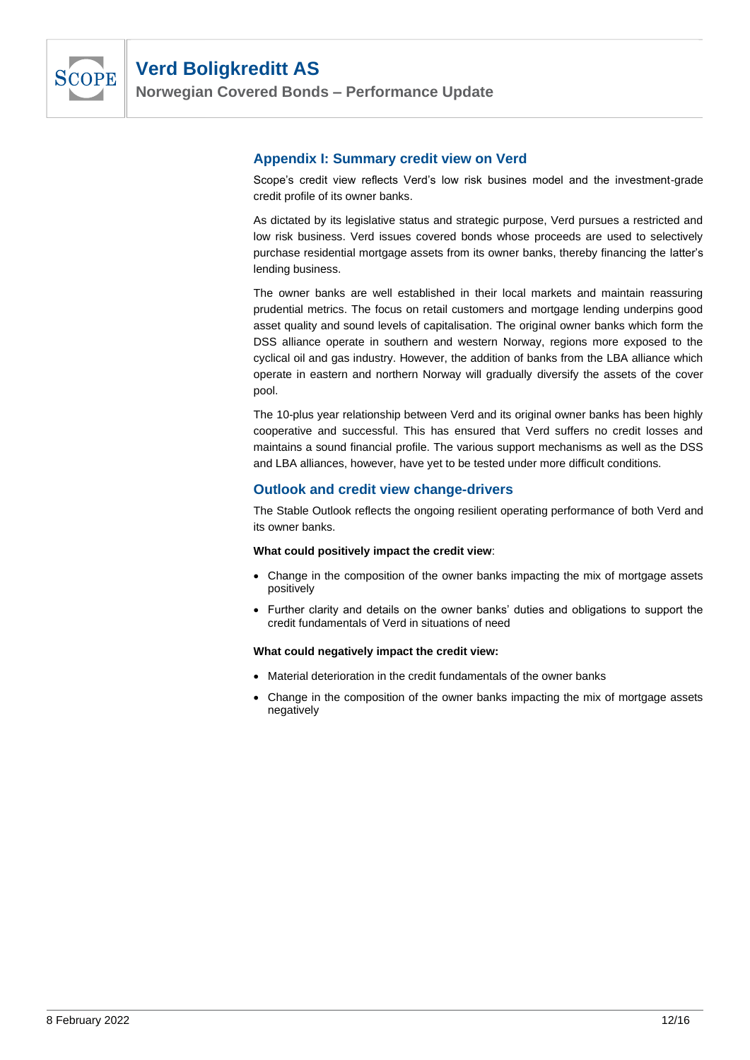

**Norwegian Covered Bonds – Performance Update**

### **Appendix I: Summary credit view on Verd**

Scope's credit view reflects Verd's low risk busines model and the investment-grade credit profile of its owner banks.

As dictated by its legislative status and strategic purpose, Verd pursues a restricted and low risk business. Verd issues covered bonds whose proceeds are used to selectively purchase residential mortgage assets from its owner banks, thereby financing the latter's lending business.

The owner banks are well established in their local markets and maintain reassuring prudential metrics. The focus on retail customers and mortgage lending underpins good asset quality and sound levels of capitalisation. The original owner banks which form the DSS alliance operate in southern and western Norway, regions more exposed to the cyclical oil and gas industry. However, the addition of banks from the LBA alliance which operate in eastern and northern Norway will gradually diversify the assets of the cover pool.

The 10-plus year relationship between Verd and its original owner banks has been highly cooperative and successful. This has ensured that Verd suffers no credit losses and maintains a sound financial profile. The various support mechanisms as well as the DSS and LBA alliances, however, have yet to be tested under more difficult conditions.

### **Outlook and credit view change-drivers**

The Stable Outlook reflects the ongoing resilient operating performance of both Verd and its owner banks.

#### **What could positively impact the credit view**:

- Change in the composition of the owner banks impacting the mix of mortgage assets positively
- Further clarity and details on the owner banks' duties and obligations to support the credit fundamentals of Verd in situations of need

#### **What could negatively impact the credit view:**

- Material deterioration in the credit fundamentals of the owner banks
- Change in the composition of the owner banks impacting the mix of mortgage assets negatively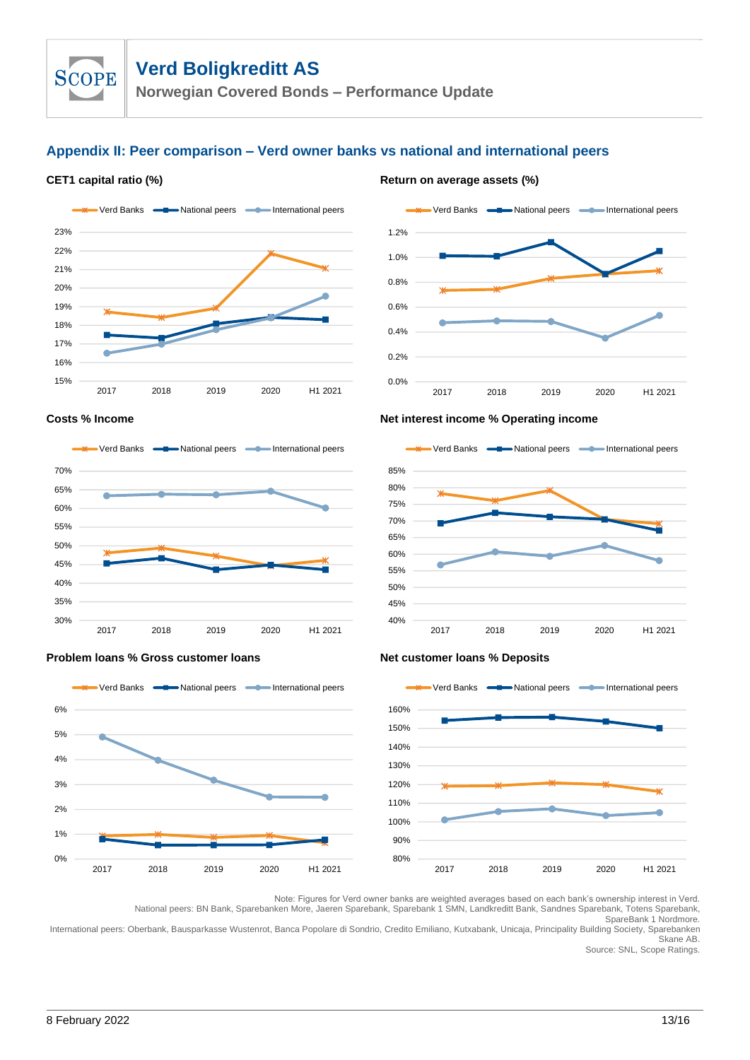**Norwegian Covered Bonds – Performance Update**

## **Appendix II: Peer comparison – Verd owner banks vs national and international peers**

#### **CET1** capital ratio (%) **Return on average assets** (%)

**SCOPE** 



# 0.0% 0.2% 0.4% 0.6% 0.8% 1.0% 1.2% 2017 2018 2019 2020 H1 2021 Verd Banks  $\longrightarrow$  National peers  $\longrightarrow$  International peers



2017 2018 2019 2020 H1 2021





#### **Problem loans % Gross customer loans Net customer loans % Deposits**



Note: Figures for Verd owner banks are weighted averages based on each bank's ownership interest in Verd. National peers: BN Bank, Sparebanken More, Jaeren Sparebank, Sparebank 1 SMN, Landkreditt Bank, Sandnes Sparebank, Totens Sparebank,

SpareBank 1 Nordmore.

International peers: Oberbank, Bausparkasse Wustenrot, Banca Popolare di Sondrio, Credito Emiliano, Kutxabank, Unicaja, Principality Building Society, Sparebanken Skane AB.

Source: SNL, Scope Ratings.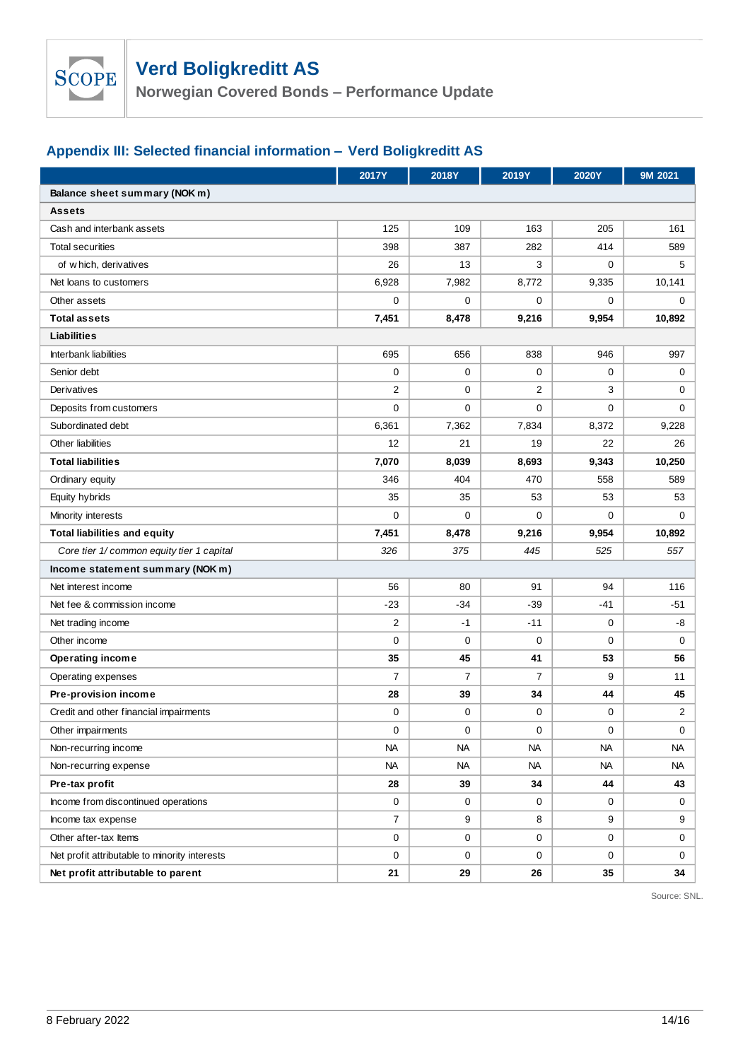

**Norwegian Covered Bonds – Performance Update**

# **Appendix III: Selected financial information – Verd Boligkreditt AS**

|                                               | <b>2017Y</b>   | 2018Y       | 2019Y          | 2020Y       | 9M 2021     |  |  |
|-----------------------------------------------|----------------|-------------|----------------|-------------|-------------|--|--|
| Balance sheet summary (NOK m)                 |                |             |                |             |             |  |  |
| <b>Assets</b>                                 |                |             |                |             |             |  |  |
| Cash and interbank assets                     | 125            | 109         | 163            | 205         | 161         |  |  |
| <b>Total securities</b>                       | 398            | 387         | 282            | 414         | 589         |  |  |
| of which, derivatives                         | 26             | 13          | 3              | 0           | 5           |  |  |
| Net loans to customers                        | 6,928          | 7,982       | 8,772          | 9,335       | 10,141      |  |  |
| Other assets                                  | $\mathbf 0$    | 0           | 0              | $\mathbf 0$ | 0           |  |  |
| <b>Total assets</b>                           | 7,451          | 8,478       | 9,216          | 9,954       | 10,892      |  |  |
| Liabilities                                   |                |             |                |             |             |  |  |
| Interbank liabilities                         | 695            | 656         | 838            | 946         | 997         |  |  |
| Senior debt                                   | $\mathbf 0$    | $\mathbf 0$ | $\mathbf 0$    | $\mathbf 0$ | 0           |  |  |
| Derivatives                                   | $\overline{2}$ | $\mathbf 0$ | $\overline{2}$ | 3           | 0           |  |  |
| Deposits from customers                       | $\mathbf 0$    | $\mathbf 0$ | $\mathbf 0$    | 0           | $\mathbf 0$ |  |  |
| Subordinated debt                             | 6,361          | 7,362       | 7,834          | 8,372       | 9,228       |  |  |
| Other liabilities                             | 12             | 21          | 19             | 22          | 26          |  |  |
| <b>Total liabilities</b>                      | 7,070          | 8,039       | 8,693          | 9,343       | 10,250      |  |  |
| Ordinary equity                               | 346            | 404         | 470            | 558         | 589         |  |  |
| Equity hybrids                                | 35             | 35          | 53             | 53          | 53          |  |  |
| Minority interests                            | $\mathbf 0$    | $\mathbf 0$ | $\mathbf 0$    | 0           | $\mathbf 0$ |  |  |
| <b>Total liabilities and equity</b>           | 7,451          | 8,478       | 9,216          | 9,954       | 10,892      |  |  |
| Core tier 1/ common equity tier 1 capital     | 326            | 375         | 445            | 525         | 557         |  |  |
| Income statement summary (NOK m)              |                |             |                |             |             |  |  |
| Net interest income                           | 56             | 80          | 91             | 94          | 116         |  |  |
| Net fee & commission income                   | $-23$          | $-34$       | $-39$          | $-41$       | $-51$       |  |  |
| Net trading income                            | $\overline{2}$ | $-1$        | $-11$          | $\mathbf 0$ | -8          |  |  |
| Other income                                  | $\mathbf 0$    | 0           | $\mathbf 0$    | 0           | $\mathbf 0$ |  |  |
| Operating income                              | 35             | 45          | 41             | 53          | 56          |  |  |
| Operating expenses                            | $\overline{7}$ | 7           | $\overline{7}$ | 9           | 11          |  |  |
| Pre-provision income                          | 28             | 39          | 34             | 44          | 45          |  |  |
| Credit and other financial impairments        | 0              | 0           | 0              | 0           | 2           |  |  |
| Other impairments                             | 0              | 0           | 0              | 0           | 0           |  |  |
| Non-recurring income                          | <b>NA</b>      | NA          | NА             | NA          | <b>NA</b>   |  |  |
| Non-recurring expense                         | <b>NA</b>      | <b>NA</b>   | NА             | NA          | NА          |  |  |
| Pre-tax profit                                | 28             | 39          | 34             | 44          | 43          |  |  |
| Income from discontinued operations           | 0              | 0           | 0              | 0           | 0           |  |  |
| Income tax expense                            | $\overline{7}$ | 9           | 8              | 9           | 9           |  |  |
| Other after-tax Items                         | 0              | 0           | 0              | 0           | 0           |  |  |
| Net profit attributable to minority interests | $\mathbf 0$    | 0           | 0              | 0           | 0           |  |  |
| Net profit attributable to parent             | 21             | 29          | 26             | 35          | 34          |  |  |

Source: SNL.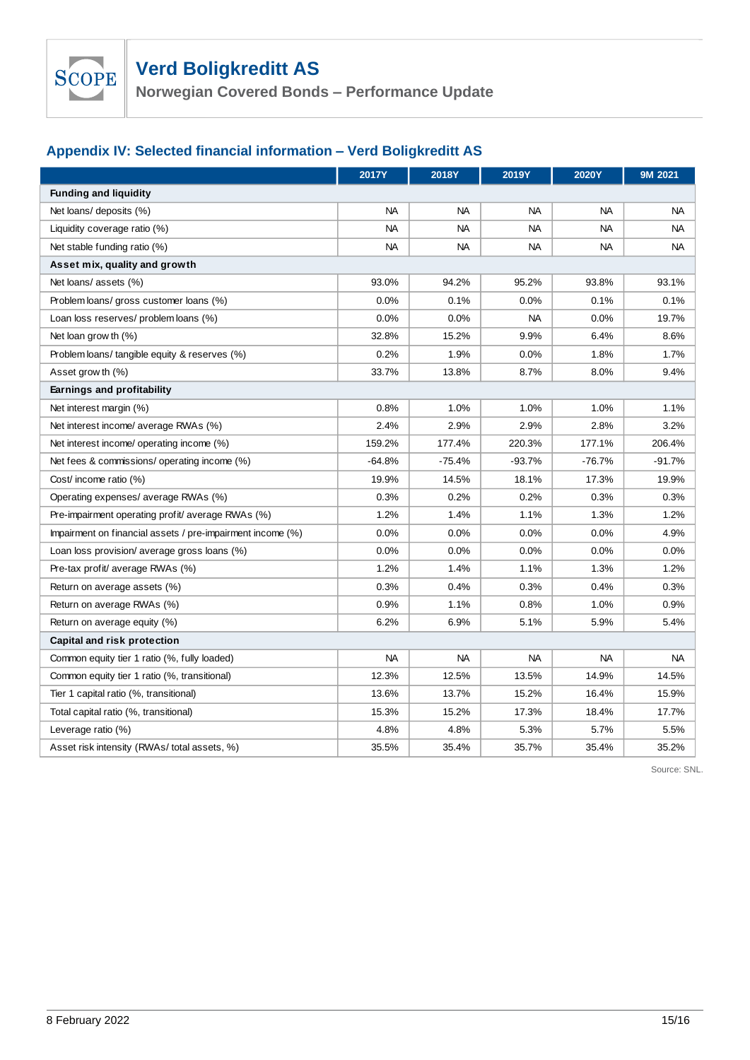**Norwegian Covered Bonds – Performance Update**

# **Appendix IV: Selected financial information – Verd Boligkreditt AS**

|                                                            | <b>2017Y</b> | 2018Y     | 2019Y     | <b>2020Y</b> | 9M 2021   |
|------------------------------------------------------------|--------------|-----------|-----------|--------------|-----------|
| <b>Funding and liquidity</b>                               |              |           |           |              |           |
| Net loans/ deposits (%)                                    | <b>NA</b>    | <b>NA</b> | <b>NA</b> | NA.          | <b>NA</b> |
| Liquidity coverage ratio (%)                               | <b>NA</b>    | <b>NA</b> | <b>NA</b> | <b>NA</b>    | <b>NA</b> |
| Net stable funding ratio (%)                               | <b>NA</b>    | NA        | <b>NA</b> | <b>NA</b>    | <b>NA</b> |
| Asset mix, quality and growth                              |              |           |           |              |           |
| Net loans/ assets (%)                                      | 93.0%        | 94.2%     | 95.2%     | 93.8%        | 93.1%     |
| Problem loans/ gross customer loans (%)                    | 0.0%         | 0.1%      | 0.0%      | 0.1%         | 0.1%      |
| Loan loss reserves/ problem loans (%)                      | 0.0%         | 0.0%      | <b>NA</b> | 0.0%         | 19.7%     |
| Net loan grow th $(\%)$                                    | 32.8%        | 15.2%     | 9.9%      | 6.4%         | 8.6%      |
| Problem loans/ tangible equity & reserves (%)              | 0.2%         | 1.9%      | 0.0%      | 1.8%         | 1.7%      |
| Asset grow th (%)                                          | 33.7%        | 13.8%     | 8.7%      | 8.0%         | 9.4%      |
| Earnings and profitability                                 |              |           |           |              |           |
| Net interest margin (%)                                    | 0.8%         | 1.0%      | 1.0%      | 1.0%         | 1.1%      |
| Net interest income/ average RWAs (%)                      | 2.4%         | 2.9%      | 2.9%      | 2.8%         | 3.2%      |
| Net interest income/ operating income (%)                  | 159.2%       | 177.4%    | 220.3%    | 177.1%       | 206.4%    |
| Net fees & commissions/ operating income (%)               | $-64.8%$     | $-75.4%$  | $-93.7%$  | $-76.7%$     | $-91.7%$  |
| Cost/ income ratio (%)                                     | 19.9%        | 14.5%     | 18.1%     | 17.3%        | 19.9%     |
| Operating expenses/ average RWAs (%)                       | 0.3%         | 0.2%      | 0.2%      | 0.3%         | 0.3%      |
| Pre-impairment operating profit/ average RWAs (%)          | 1.2%         | 1.4%      | 1.1%      | 1.3%         | 1.2%      |
| Impairment on financial assets / pre-impairment income (%) | 0.0%         | 0.0%      | $0.0\%$   | 0.0%         | 4.9%      |
| Loan loss provision/ average gross loans (%)               | 0.0%         | 0.0%      | 0.0%      | 0.0%         | 0.0%      |
| Pre-tax profit/ average RWAs (%)                           | 1.2%         | 1.4%      | 1.1%      | 1.3%         | 1.2%      |
| Return on average assets (%)                               | 0.3%         | 0.4%      | 0.3%      | 0.4%         | 0.3%      |
| Return on average RWAs (%)                                 | 0.9%         | 1.1%      | 0.8%      | 1.0%         | 0.9%      |
| Return on average equity (%)                               | 6.2%         | 6.9%      | 5.1%      | 5.9%         | 5.4%      |
| Capital and risk protection                                |              |           |           |              |           |
| Common equity tier 1 ratio (%, fully loaded)               | <b>NA</b>    | <b>NA</b> | <b>NA</b> | <b>NA</b>    | <b>NA</b> |
| Common equity tier 1 ratio (%, transitional)               | 12.3%        | 12.5%     | 13.5%     | 14.9%        | 14.5%     |
| Tier 1 capital ratio (%, transitional)                     | 13.6%        | 13.7%     | 15.2%     | 16.4%        | 15.9%     |
| Total capital ratio (%, transitional)                      | 15.3%        | 15.2%     | 17.3%     | 18.4%        | 17.7%     |
| Leverage ratio (%)                                         | 4.8%         | 4.8%      | 5.3%      | 5.7%         | 5.5%      |
| Asset risk intensity (RWAs/total assets, %)                | 35.5%        | 35.4%     | 35.7%     | 35.4%        | 35.2%     |

Source: SNL.